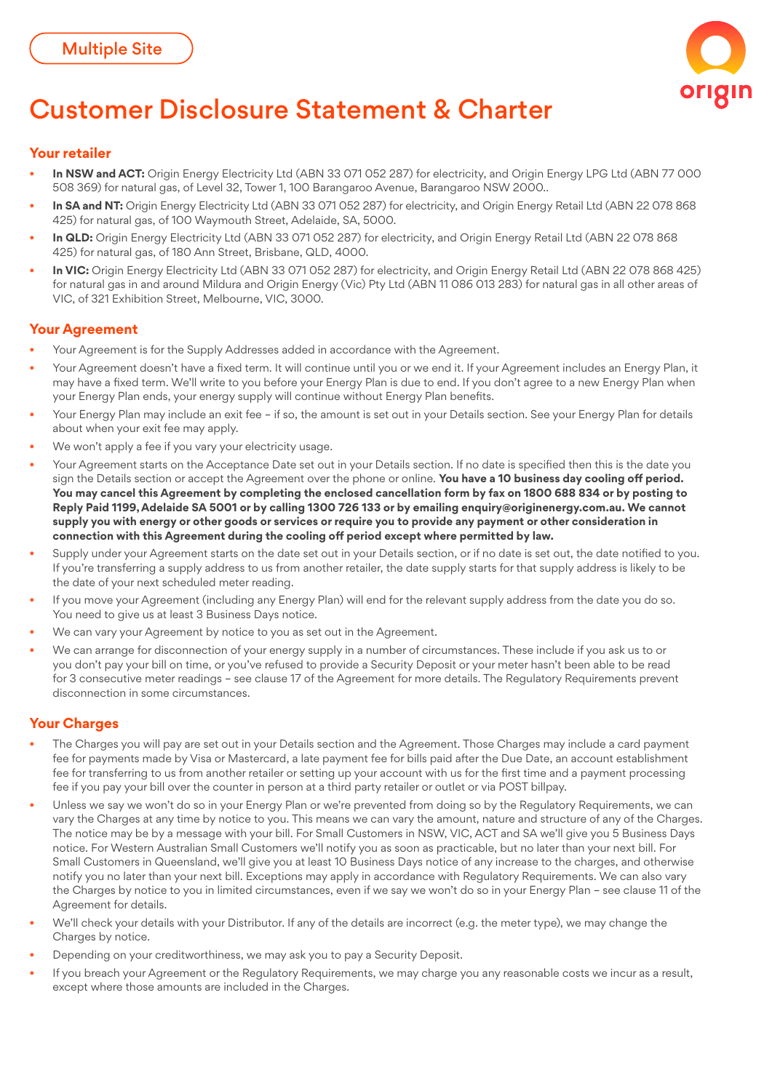

# Customer Disclosure Statement & Charter

## **Your retailer**

- **In NSW and ACT:** Origin Energy Electricity Ltd (ABN 33 071 052 287) for electricity, and Origin Energy LPG Ltd (ABN 77 000 508 369) for natural gas, of Level 32, Tower 1, 100 Barangaroo Avenue, Barangaroo NSW 2000..
- In SA and NT: Origin Energy Electricity Ltd (ABN 33 071 052 287) for electricity, and Origin Energy Retail Ltd (ABN 22 078 868 425) for natural gas, of 100 Waymouth Street, Adelaide, SA, 5000.
- **In QLD:** Origin Energy Electricity Ltd (ABN 33 071 052 287) for electricity, and Origin Energy Retail Ltd (ABN 22 078 868 425) for natural gas, of 180 Ann Street, Brisbane, QLD, 4000.
- • **In VIC:** Origin Energy Electricity Ltd (ABN 33 071 052 287) for electricity, and Origin Energy Retail Ltd (ABN 22 078 868 425) for natural gas in and around Mildura and Origin Energy (Vic) Pty Ltd (ABN 11 086 013 283) for natural gas in all other areas of VIC, of 321 Exhibition Street, Melbourne, VIC, 3000.

# **Your Agreement**

- Your Agreement is for the Supply Addresses added in accordance with the Agreement.
- Your Agreement doesn't have a fixed term. It will continue until you or we end it. If your Agreement includes an Energy Plan, it may have a fixed term. We'll write to you before your Energy Plan is due to end. If you don't agree to a new Energy Plan when your Energy Plan ends, your energy supply will continue without Energy Plan benefits.
- Your Energy Plan may include an exit fee if so, the amount is set out in your Details section. See your Energy Plan for details about when your exit fee may apply.
- We won't apply a fee if you vary your electricity usage.
- Your Agreement starts on the Acceptance Date set out in your Details section. If no date is specified then this is the date you sign the Details section or accept the Agreement over the phone or online. **You have a 10 business day cooling off period. You may cancel this Agreement by completing the enclosed cancellation form by fax on 1800 688 834 or by posting to Reply Paid 1199, Adelaide SA 5001 or by calling 1300 726 133 or by emailing enquiry@originenergy.com.au. We cannot supply you with energy or other goods or services or require you to provide any payment or other consideration in connection with this Agreement during the cooling off period except where permitted by law.**
- Supply under your Agreement starts on the date set out in your Details section, or if no date is set out, the date notified to you. If you're transferring a supply address to us from another retailer, the date supply starts for that supply address is likely to be the date of your next scheduled meter reading.
- If you move your Agreement (including any Energy Plan) will end for the relevant supply address from the date you do so. You need to give us at least 3 Business Days notice.
- We can vary your Agreement by notice to you as set out in the Agreement.
- We can arrange for disconnection of your energy supply in a number of circumstances. These include if you ask us to or you don't pay your bill on time, or you've refused to provide a Security Deposit or your meter hasn't been able to be read for 3 consecutive meter readings – see clause 17 of the Agreement for more details. The Regulatory Requirements prevent disconnection in some circumstances.

# **Your Charges**

- The Charges you will pay are set out in your Details section and the Agreement. Those Charges may include a card payment fee for payments made by Visa or Mastercard, a late payment fee for bills paid after the Due Date, an account establishment fee for transferring to us from another retailer or setting up your account with us for the first time and a payment processing fee if you pay your bill over the counter in person at a third party retailer or outlet or via POST billpay.
- Unless we say we won't do so in your Energy Plan or we're prevented from doing so by the Regulatory Requirements, we can vary the Charges at any time by notice to you. This means we can vary the amount, nature and structure of any of the Charges. The notice may be by a message with your bill. For Small Customers in NSW, VIC, ACT and SA we'll give you 5 Business Days notice. For Western Australian Small Customers we'll notify you as soon as practicable, but no later than your next bill. For Small Customers in Queensland, we'll give you at least 10 Business Days notice of any increase to the charges, and otherwise notify you no later than your next bill. Exceptions may apply in accordance with Regulatory Requirements. We can also vary the Charges by notice to you in limited circumstances, even if we say we won't do so in your Energy Plan – see clause 11 of the Agreement for details.
- We'll check your details with your Distributor. If any of the details are incorrect (e.g. the meter type), we may change the Charges by notice.
- Depending on your creditworthiness, we may ask you to pay a Security Deposit.
- If you breach your Agreement or the Regulatory Requirements, we may charge you any reasonable costs we incur as a result, except where those amounts are included in the Charges.